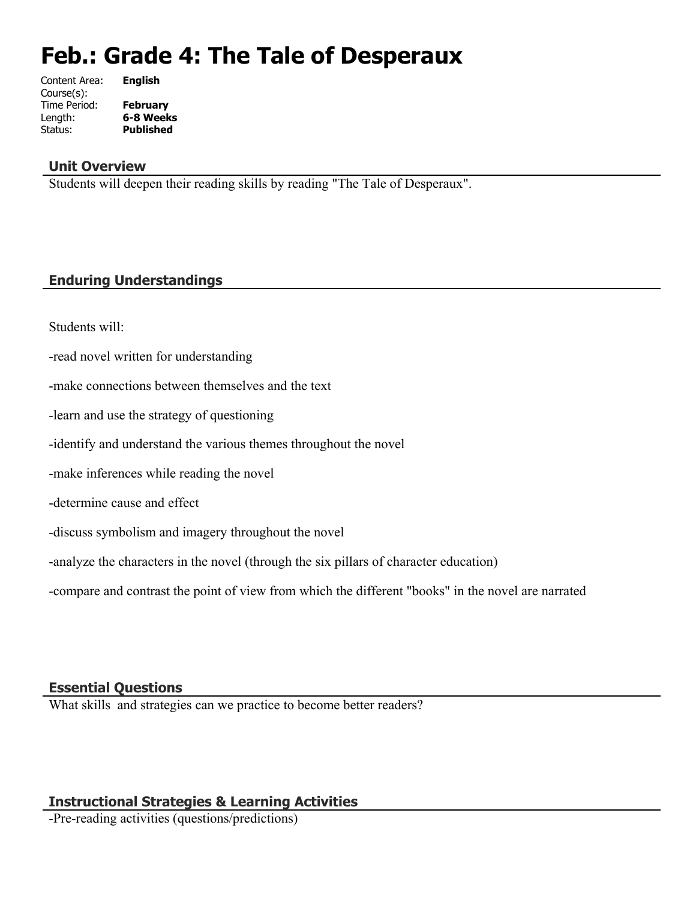# **Feb.: Grade 4: The Tale of Desperaux**

| Content Area: | <b>English</b>   |
|---------------|------------------|
| Course(s):    |                  |
| Time Period:  | <b>February</b>  |
| Length:       | 6-8 Weeks        |
| Status:       | <b>Published</b> |
|               |                  |

#### **Unit Overview**

Students will deepen their reading skills by reading "The Tale of Desperaux".

# **Enduring Understandings**

Students will:

-read novel written for understanding

-make connections between themselves and the text

-learn and use the strategy of questioning

-identify and understand the various themes throughout the novel

-make inferences while reading the novel

-determine cause and effect

-discuss symbolism and imagery throughout the novel

-analyze the characters in the novel (through the six pillars of character education)

-compare and contrast the point of view from which the different "books" in the novel are narrated

#### **Essential Questions**

What skills and strategies can we practice to become better readers?

# **Instructional Strategies & Learning Activities**

-Pre-reading activities (questions/predictions)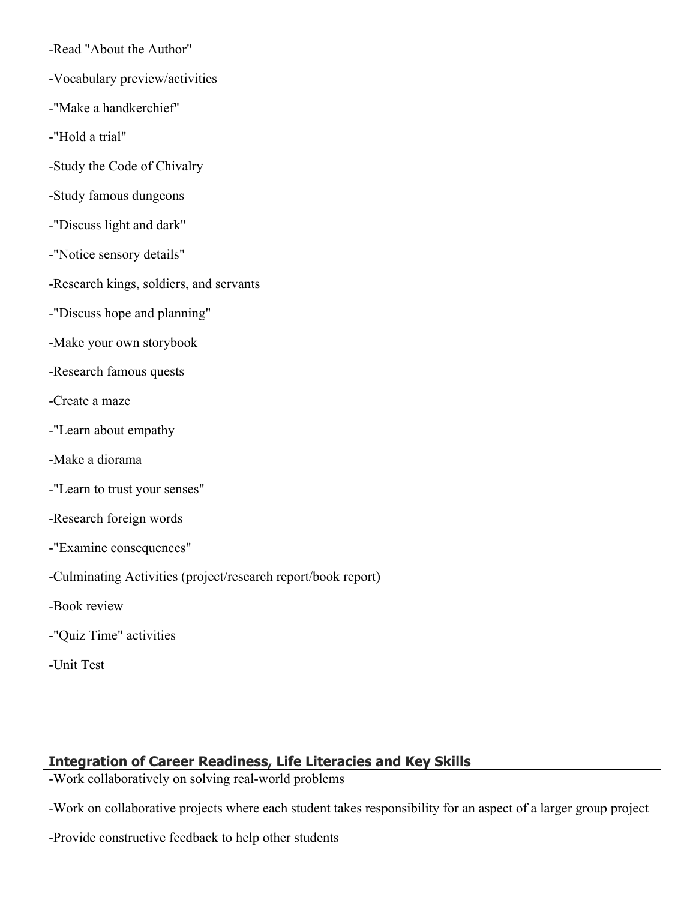-Read "About the Author"

- -Vocabulary preview/activities
- -"Make a handkerchief"
- -"Hold a trial"
- -Study the Code of Chivalry
- -Study famous dungeons
- -"Discuss light and dark"
- -"Notice sensory details"
- -Research kings, soldiers, and servants
- -"Discuss hope and planning"
- -Make your own storybook
- -Research famous quests
- -Create a maze
- -"Learn about empathy
- -Make a diorama
- -"Learn to trust your senses"
- -Research foreign words
- -"Examine consequences"
- -Culminating Activities (project/research report/book report)
- -Book review
- -"Quiz Time" activities
- -Unit Test

# **Integration of Career Readiness, Life Literacies and Key Skills**

-Work collaboratively on solving real-world problems

-Work on collaborative projects where each student takes responsibility for an aspect of a larger group project

-Provide constructive feedback to help other students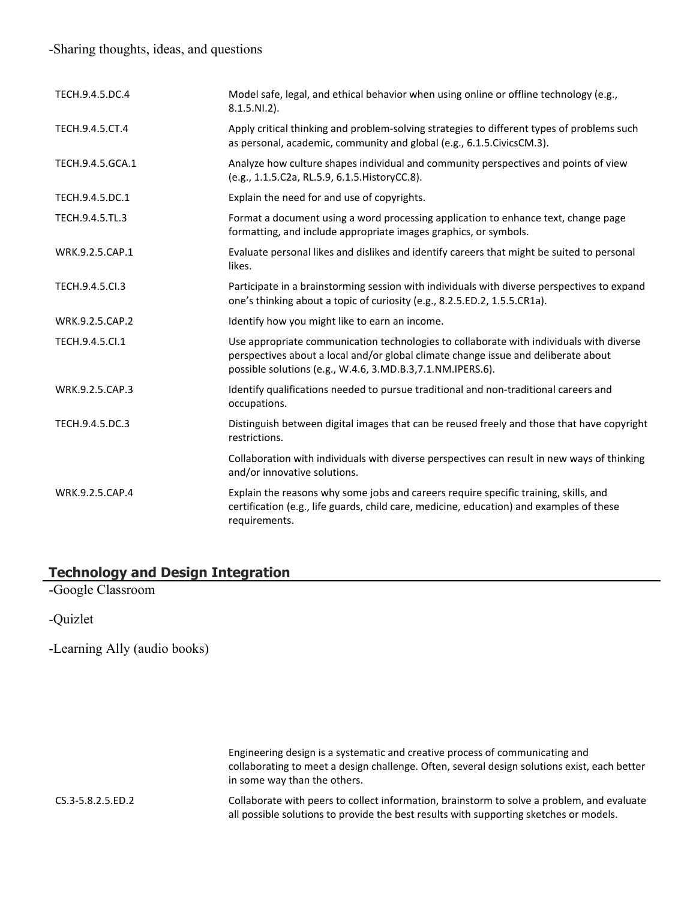#### -Sharing thoughts, ideas, and questions

| TECH.9.4.5.DC.4  | Model safe, legal, and ethical behavior when using online or offline technology (e.g.,<br>$8.1.5.NI.2$ ).                                                                                                                                   |
|------------------|---------------------------------------------------------------------------------------------------------------------------------------------------------------------------------------------------------------------------------------------|
| TECH.9.4.5.CT.4  | Apply critical thinking and problem-solving strategies to different types of problems such<br>as personal, academic, community and global (e.g., 6.1.5. Civics CM.3).                                                                       |
| TECH.9.4.5.GCA.1 | Analyze how culture shapes individual and community perspectives and points of view<br>(e.g., 1.1.5.C2a, RL.5.9, 6.1.5. HistoryCC.8).                                                                                                       |
| TECH.9.4.5.DC.1  | Explain the need for and use of copyrights.                                                                                                                                                                                                 |
| TECH.9.4.5.TL.3  | Format a document using a word processing application to enhance text, change page<br>formatting, and include appropriate images graphics, or symbols.                                                                                      |
| WRK.9.2.5.CAP.1  | Evaluate personal likes and dislikes and identify careers that might be suited to personal<br>likes.                                                                                                                                        |
| TECH.9.4.5.Cl.3  | Participate in a brainstorming session with individuals with diverse perspectives to expand<br>one's thinking about a topic of curiosity (e.g., 8.2.5.ED.2, 1.5.5.CR1a).                                                                    |
| WRK.9.2.5.CAP.2  | Identify how you might like to earn an income.                                                                                                                                                                                              |
| TECH.9.4.5.Cl.1  | Use appropriate communication technologies to collaborate with individuals with diverse<br>perspectives about a local and/or global climate change issue and deliberate about<br>possible solutions (e.g., W.4.6, 3.MD.B.3,7.1.NM.IPERS.6). |
| WRK.9.2.5.CAP.3  | Identify qualifications needed to pursue traditional and non-traditional careers and<br>occupations.                                                                                                                                        |
| TECH.9.4.5.DC.3  | Distinguish between digital images that can be reused freely and those that have copyright<br>restrictions.                                                                                                                                 |
|                  | Collaboration with individuals with diverse perspectives can result in new ways of thinking<br>and/or innovative solutions.                                                                                                                 |
| WRK.9.2.5.CAP.4  | Explain the reasons why some jobs and careers require specific training, skills, and<br>certification (e.g., life guards, child care, medicine, education) and examples of these<br>requirements.                                           |

# **Technology and Design Integration**

-Google Classroom

-Quizlet

-Learning Ally (audio books)

Engineering design is a systematic and creative process of communicating and collaborating to meet a design challenge. Often, several design solutions exist, each better in some way than the others.

CS.3-5.8.2.5.ED.2 Collaborate with peers to collect information, brainstorm to solve a problem, and evaluate all possible solutions to provide the best results with supporting sketches or models.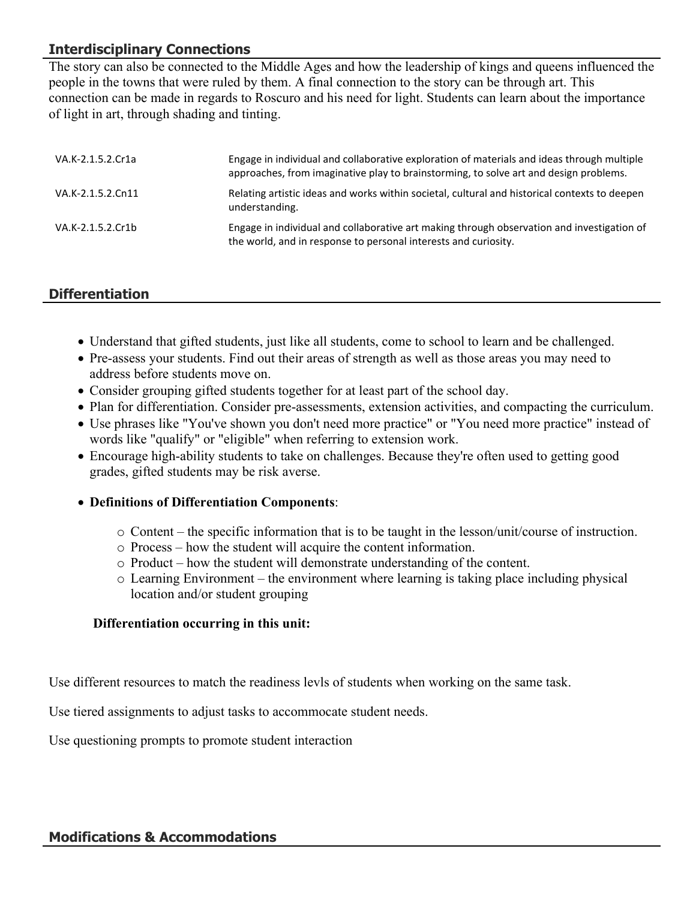# **Interdisciplinary Connections**

The story can also be connected to the Middle Ages and how the leadership of kings and queens influenced the people in the towns that were ruled by them. A final connection to the story can be through art. This connection can be made in regards to Roscuro and his need for light. Students can learn about the importance of light in art, through shading and tinting.

| VA.K-2.1.5.2.Cr1a | Engage in individual and collaborative exploration of materials and ideas through multiple<br>approaches, from imaginative play to brainstorming, to solve art and design problems. |
|-------------------|-------------------------------------------------------------------------------------------------------------------------------------------------------------------------------------|
| VA.K-2.1.5.2.Cn11 | Relating artistic ideas and works within societal, cultural and historical contexts to deepen<br>understanding.                                                                     |
| VA.K-2.1.5.2.Cr1b | Engage in individual and collaborative art making through observation and investigation of<br>the world, and in response to personal interests and curiosity.                       |

# **Differentiation**

- Understand that gifted students, just like all students, come to school to learn and be challenged.
- Pre-assess your students. Find out their areas of strength as well as those areas you may need to address before students move on.
- Consider grouping gifted students together for at least part of the school day.
- Plan for differentiation. Consider pre-assessments, extension activities, and compacting the curriculum.
- Use phrases like "You've shown you don't need more practice" or "You need more practice" instead of words like "qualify" or "eligible" when referring to extension work.
- Encourage high-ability students to take on challenges. Because they're often used to getting good grades, gifted students may be risk averse.
- **Definitions of Differentiation Components**:
	- o Content the specific information that is to be taught in the lesson/unit/course of instruction.
	- o Process how the student will acquire the content information.
	- o Product how the student will demonstrate understanding of the content.
	- $\circ$  Learning Environment the environment where learning is taking place including physical location and/or student grouping

#### **Differentiation occurring in this unit:**

Use different resources to match the readiness levls of students when working on the same task.

Use tiered assignments to adjust tasks to accommocate student needs.

Use questioning prompts to promote student interaction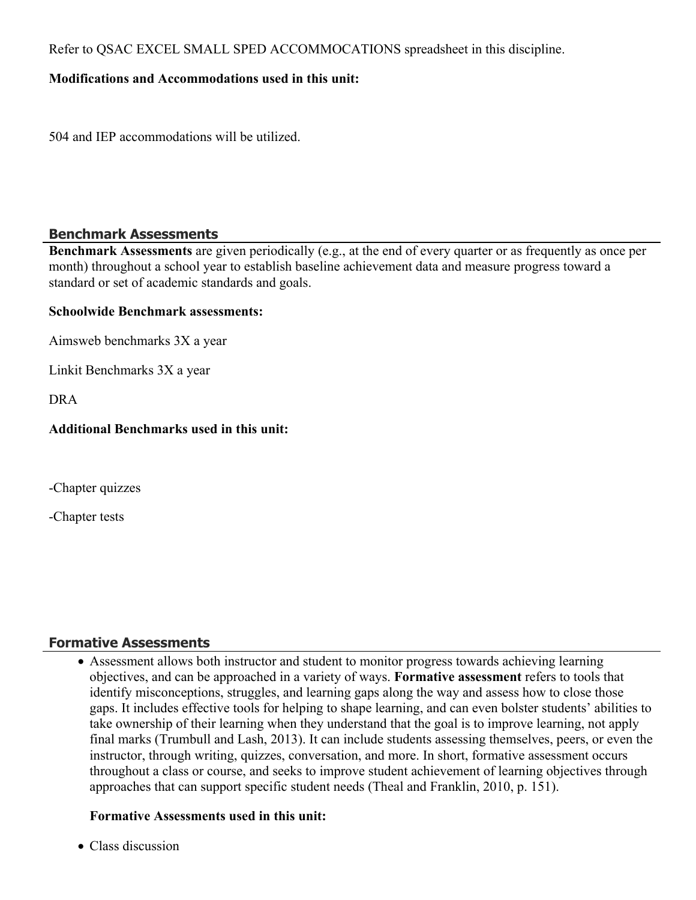Refer to QSAC EXCEL SMALL SPED ACCOMMOCATIONS spreadsheet in this discipline.

#### **Modifications and Accommodations used in this unit:**

504 and IEP accommodations will be utilized.

#### **Benchmark Assessments**

**Benchmark Assessments** are given periodically (e.g., at the end of every quarter or as frequently as once per month) throughout a school year to establish baseline achievement data and measure progress toward a standard or set of academic standards and goals.

#### **Schoolwide Benchmark assessments:**

Aimsweb benchmarks 3X a year

Linkit Benchmarks 3X a year

DRA

## **Additional Benchmarks used in this unit:**

-Chapter quizzes

-Chapter tests

# **Formative Assessments**

 Assessment allows both instructor and student to monitor progress towards achieving learning objectives, and can be approached in a variety of ways. **Formative assessment** refers to tools that identify misconceptions, struggles, and learning gaps along the way and assess how to close those gaps. It includes effective tools for helping to shape learning, and can even bolster students' abilities to take ownership of their learning when they understand that the goal is to improve learning, not apply final marks (Trumbull and Lash, 2013). It can include students assessing themselves, peers, or even the instructor, through writing, quizzes, conversation, and more. In short, formative assessment occurs throughout a class or course, and seeks to improve student achievement of learning objectives through approaches that can support specific student needs (Theal and Franklin, 2010, p. 151).

# **Formative Assessments used in this unit:**

• Class discussion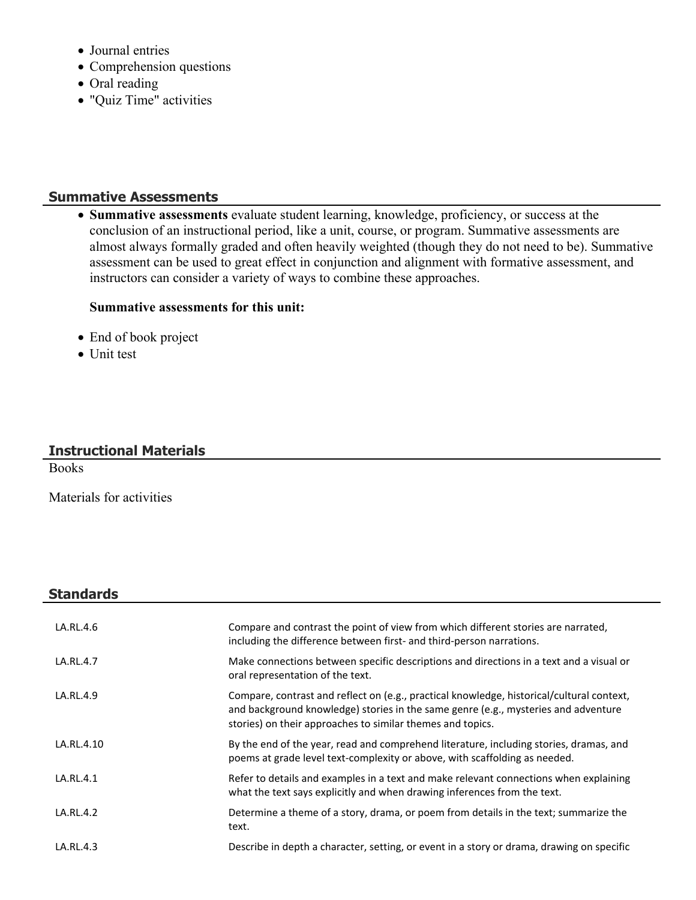- Journal entries
- Comprehension questions
- Oral reading
- "Quiz Time" activities

## **Summative Assessments**

 **Summative assessments** evaluate student learning, knowledge, proficiency, or success at the conclusion of an instructional period, like a unit, course, or program. Summative assessments are almost always formally graded and often heavily weighted (though they do not need to be). Summative assessment can be used to great effect in conjunction and alignment with formative assessment, and instructors can consider a variety of ways to combine these approaches.

#### **Summative assessments for this unit:**

- End of book project
- Unit test

## **Instructional Materials**

Books

Materials for activities

#### **Standards**

| LA.RL.4.6  | Compare and contrast the point of view from which different stories are narrated,<br>including the difference between first- and third-person narrations.                                                                                     |
|------------|-----------------------------------------------------------------------------------------------------------------------------------------------------------------------------------------------------------------------------------------------|
| LA.RL.4.7  | Make connections between specific descriptions and directions in a text and a visual or<br>oral representation of the text.                                                                                                                   |
| LA.RL.4.9  | Compare, contrast and reflect on (e.g., practical knowledge, historical/cultural context,<br>and background knowledge) stories in the same genre (e.g., mysteries and adventure<br>stories) on their approaches to similar themes and topics. |
| LA.RL.4.10 | By the end of the year, read and comprehend literature, including stories, dramas, and<br>poems at grade level text-complexity or above, with scaffolding as needed.                                                                          |
| LA.RL.4.1  | Refer to details and examples in a text and make relevant connections when explaining<br>what the text says explicitly and when drawing inferences from the text.                                                                             |
| LA.RL.4.2  | Determine a theme of a story, drama, or poem from details in the text; summarize the<br>text.                                                                                                                                                 |
| LA.RL.4.3  | Describe in depth a character, setting, or event in a story or drama, drawing on specific                                                                                                                                                     |